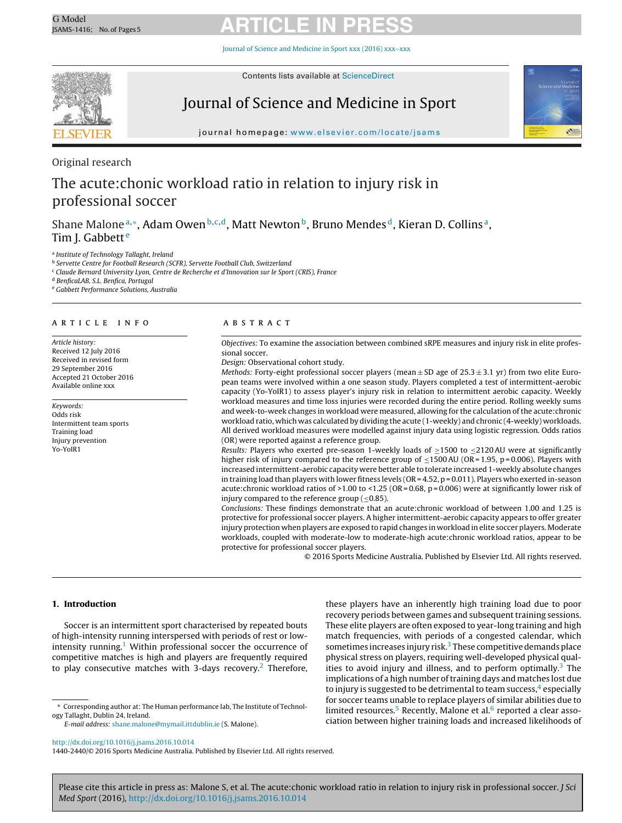Journal of Science and [Medicine](dx.doi.org/10.1016/j.jsams.2016.10.014) in Sport xxx (2016) xxx–xxx



Contents lists available at [ScienceDirect](http://www.sciencedirect.com/science/journal/14402440)

# Journal of Science and Medicine in Sport



journal homepage: [www.elsevier.com/locate/jsams](http://www.elsevier.com/locate/jsams)

Original research

# The acute:chonic workload ratio in relation to injury risk in professional soccer

Shane Malone<sup>a,∗</sup>, Adam Owen<sup>b,c,d</sup>, Matt Newton<sup>b</sup>, Bruno Mendes<sup>d</sup>, Kieran D. Collins<sup>a</sup>, Tim J. Gabbett<sup>e</sup>

<sup>a</sup> Institute of Technology Tallaght, Ireland

**b** Servette Centre for Football Research (SCFR), Servette Football Club, Switzerland

<sup>c</sup> Claude Bernard University Lyon, Centre de Recherche et d'Innovation sur le Sport (CRIS), France

<sup>d</sup> BenficaLAB, S.L. Benfica, Portugal

<sup>e</sup> Gabbett Performance Solutions, Australia

### a r t i c l e i n f o

Article history: Received 12 July 2016 Received in revised form 29 September 2016 Accepted 21 October 2016 Available online xxx

Keywords: Odds risk Intermittent team sports Training load Injury prevention Yo-YoIR1

# A B S T R A C T

Objectives: To examine the association between combined sRPE measures and injury risk in elite professional soccer.

Design: Observational cohort study.

Methods: Forty-eight professional soccer players (mean  $\pm$  SD age of 25.3  $\pm$  3.1 yr) from two elite European teams were involved within a one season study. Players completed a test of intermittent-aerobic capacity (Yo-YoIR1) to assess player's injury risk in relation to intermittent aerobic capacity. Weekly workload measures and time loss injuries were recorded during the entire period. Rolling weekly sums and week-to-week changes in workload were measured, allowing for the calculation of the acute:chronic workload ratio, which was calculated by dividing the acute (1-weekly) and chronic (4-weekly) workloads. All derived workload measures were modelled against injury data using logistic regression. Odds ratios (OR) were reported against a reference group.

Results: Players who exerted pre-season 1-weekly loads of  $\geq$ 1500 to  $\leq$ 2120AU were at significantly higher risk of injury compared to the reference group of  $\leq$ 1500AU (OR = 1.95, p = 0.006). Players with increased intermittent-aerobic capacity were better able to tolerate increased 1-weekly absolute changes in training load than players with lower fitness levels  $(OR = 4.52, p = 0.011)$ . Players who exerted in-season acute:chronic workload ratios of >1.00 to <1.25 (OR = 0.68, p = 0.006) were at significantly lower risk of injury compared to the reference group ( $\leq$ 0.85).

Conclusions: These findings demonstrate that an acute:chronic workload of between 1.00 and 1.25 is protective for professional soccer players. A higher intermittent-aerobic capacity appears to offer greater injury protection when players are exposed to rapid changes in workload in elite soccer players. Moderate workloads, coupled with moderate-low to moderate-high acute:chronic workload ratios, appear to be protective for professional soccer players.

© 2016 Sports Medicine Australia. Published by Elsevier Ltd. All rights reserved.

#### **1. Introduction**

Soccer is an intermittent sport characterised by repeated bouts of high-intensity running interspersed with periods of rest or lowintensity running.<sup>1</sup> Within professional soccer the occurrence of competitive matches is high and players are frequently required to play consecutive matches with 3-days recovery.<sup>2</sup> Therefore,

∗ Corresponding author at: The Human performance lab, The Institute of Technology Tallaght, Dublin 24, Ireland.

E-mail address: [shane.malone@mymail.ittdublin.ie](mailto:shane.malone@mymail.ittdublin.ie) (S. Malone).

recovery periods between games and subsequent training sessions. These elite players are often exposed to year-long training and high match frequencies, with periods of a congested calendar, which sometimes increases injury risk. $3$  These competitive demands place physical stress on players, requiring well-developed physical qualities to avoid injury and illness, and to perform optimally.<sup>3</sup> The implications of a high number of training days and matches lost due to injury is sugg[e](#page-4-0)sted to be detrimental to team success, $4$  especially for soccer teams unable to replace players of similar abilities due to limited resources.<sup>[5](#page-4-0)</sup> Recently, Malone et al. $6$  reported a clear association between higher training loads and increased likelihoods of

these players have an inherently high training load due to poor

1440-2440/© 2016 Sports Medicine Australia. Published by Elsevier Ltd. All rights reserved.

[http://dx.doi.org/10.1016/j.jsams.2016.10.014](dx.doi.org/10.1016/j.jsams.2016.10.014)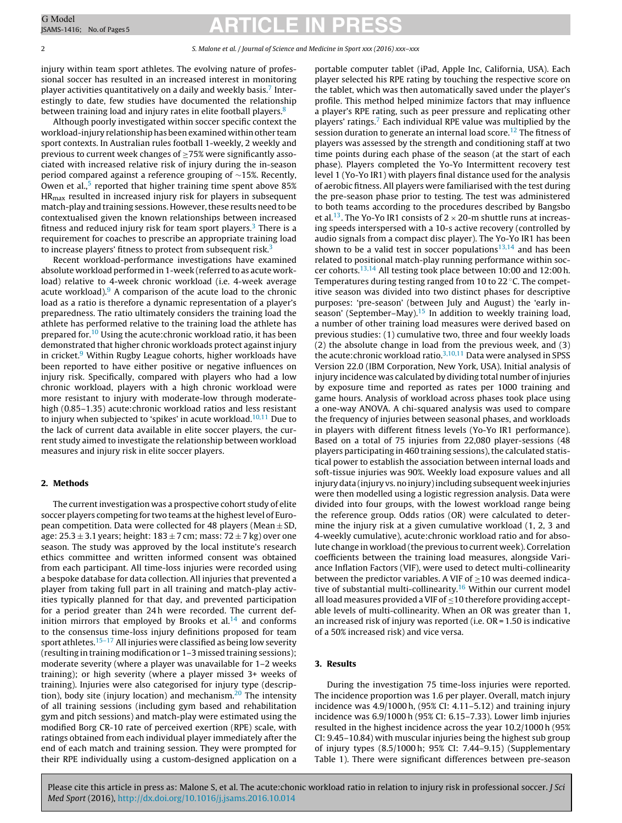#### 2 S. Malone et al. / Journal of Science and Medicine in Sport xxx (2016) xxx–xxx

injury within team sport athletes. The evolving nature of professional soccer has resulted in an increased interest in monitoring player activities quantitatively on a daily and weekly basis.[7](#page-4-0) Interestingly to date, few studies have documented the relationship between training load and injury rates in elite football players.<sup>[8](#page-4-0)</sup>

Although poorly investigated within soccer specific context the workload-injury relationshiphas beenexamined withinother team sport contexts. In Australian rules football 1-weekly, 2 weekly and previous to current week changes of  $\geq$ 75% were significantly associated with increased relative risk of injury during the in-season period compared against a reference grouping of ∼15%. Recently, Owen et al., $5$  reported that higher training time spent above 85% HRmax resulted in increased injury risk for players in subsequent match-play and training sessions. However, these results need to be contextualised given the known relationships between increased fitness and reduced injury risk for team sport players. $3$  There is a requirement for coaches to prescribe an appropriate training load to increase players' fitness to protect from subsequent risk.<sup>3</sup>

Recent workload-performance investigations have examined absolute workload performed in 1-week (referred to as acute workload) relative to 4-week chronic workload (i.e. 4-week average acute workload). $9$  A comparison of the acute load to the chronic load as a ratio is therefore a dynamic representation of a player's preparedness. The ratio ultimately considers the training load the athlete has performed relative to the training load the athlete has prepared for.<sup>10</sup> Using the acute: chronic workload ratio, it has been demonstrated that higher chronic workloads protect against injury in cricket.<sup>[9](#page-4-0)</sup> Within Rugby League cohorts, higher workloads have been reported to have either positive or negative influences on injury risk. Specifically, compared with players who had a low chronic workload, players with a high chronic workload were more resistant to injury with moderate-low through moderatehigh (0.85–1.35) acute: chronic workload ratios and less resistant to injury when subjected to 'spikes' in acute workload.<sup>[10,11](#page-4-0)</sup> Due to the lack of current data available in elite soccer players, the current study aimed to investigate the relationship between workload measures and injury risk in elite soccer players.

## **2. Methods**

The current investigation was a prospective cohort study of elite soccer players competing for two teams at the highest level of European competition. Data were collected for 48 players (Mean  $\pm$  SD, age:  $25.3 \pm 3.1$  years; height:  $183 \pm 7$  cm; mass:  $72 \pm 7$  kg) over one season. The study was approved by the local institute's research ethics committee and written informed consent was obtained from each participant. All time-loss injuries were recorded using a bespoke database for data collection. All injuries that prevented a player from taking full part in all training and match-play activities typically planned for that day, and prevented participation for a period greater than 24 h were recorded. The current definition mirrors that employed by Brooks et  $al.14$  $al.14$  and conforms to the consensus time-loss injury definitions proposed for team sport athletes.<sup>15-17</sup> All injuries were classified as being low severity (resulting in training modification or 1–3 missed training sessions); moderate severity (where a player was unavailable for 1–2 weeks training); or high severity (where a player missed 3+ weeks of training). Injuries were also categorised for injury type (description), body site (injury location) and mechanism. $20$  The intensity of all training sessions (including gym based and rehabilitation gym and pitch sessions) and match-play were estimated using the modified Borg CR-10 rate of perceived exertion (RPE) scale, with ratings obtained from each individual player immediately after the end of each match and training session. They were prompted for their RPE individually using a custom-designed application on a

portable computer tablet (iPad, Apple Inc, California, USA). Each player selected his RPE rating by touching the respective score on the tablet, which was then automatically saved under the player's profile. This method helped minimize factors that may influence a player's RPE rating, such as peer pressure and replicating other players' ratings.[7](#page-4-0) Each individual RPE value was multiplied by the session duration to generate an internal load score.<sup>12</sup> The fitness of players was assessed by the strength and conditioning staff at two time points during each phase of the season (at the start of each phase). Players completed the Yo-Yo Intermittent recovery test level 1 (Yo-Yo IR1) with players final distance used for the analysis of aerobic fitness. All players were familiarised with the test during the pre-season phase prior to testing. The test was administered to both teams according to the procedures described by Bangsbo et al.<sup>13</sup>. The Yo-Yo IR1 consists of  $2 \times 20$ -m shuttle runs at increasing speeds interspersed with a 10-s active recovery (controlled by audio signals from a compact disc player). The Yo-Yo IR1 has been shown to be a valid test in soccer populations $13,14$  and has been related to positional match-play running performance within soccer cohorts.[13,14](#page-4-0) All testing took place between 10:00 and 12:00 h. Temperatures during testing ranged from 10 to 22 ◦C. The competitive season was divided into two distinct phases for descriptive purposes: 'pre-season' (between July and August) the 'early inseason' (September–May). $15$  In addition to weekly training load, a number of other training load measures were derived based on previous studies: (1) cumulative two, three and four weekly loads (2) the absolute change in load from the previous week, and (3) the acute: chronic workload ratio.<sup>3,10,11</sup> Data were analysed in SPSS Version 22.0 (IBM Corporation, New York, USA). Initial analysis of injury incidence was calculated by dividing total number of injuries by exposure time and reported as rates per 1000 training and game hours. Analysis of workload across phases took place using a one-way ANOVA. A chi-squared analysis was used to compare the frequency of injuries between seasonal phases, and workloads in players with different fitness levels (Yo-Yo IR1 performance). Based on a total of 75 injuries from 22,080 player-sessions (48 players participating in 460 training sessions), the calculated statistical power to establish the association between internal loads and soft-tissue injuries was 90%. Weekly load exposure values and all injurydata (injury vs.no injury)including subsequent week injuries were then modelled using a logistic regression analysis. Data were divided into four groups, with the lowest workload range being the reference group. Odds ratios (OR) were calculated to determine the injury risk at a given cumulative workload (1, 2, 3 and 4-weekly cumulative), acute:chronic workload ratio and for absolute change in workload (the previous to current week). Correlation coefficients between the training load measures, alongside Variance Inflation Factors (VIF), were used to detect multi-collinearity between the predictor variables. A VIF of >10 was deemed indica-tive of substantial multi-collinearity.<sup>[16](#page-4-0)</sup> Within our current model all load measures provided a VIF of <10 therefore providing acceptable levels of multi-collinearity. When an OR was greater than 1, an increased risk of injury was reported (i.e. OR = 1.50 is indicative of a 50% increased risk) and vice versa.

### **3. Results**

During the investigation 75 time-loss injuries were reported. The incidence proportion was 1.6 per player. Overall, match injury incidence was 4.9/1000 h, (95% CI: 4.11–5.12) and training injury incidence was 6.9/1000 h (95% CI: 6.15–7.33). Lower limb injuries resulted in the highest incidence across the year 10.2/1000 h (95% CI: 9.45–10.84) with muscular injuries being the highest sub group of injury types (8.5/1000 h; 95% CI: 7.44–9.15) (Supplementary Table 1). There were significant differences between pre-season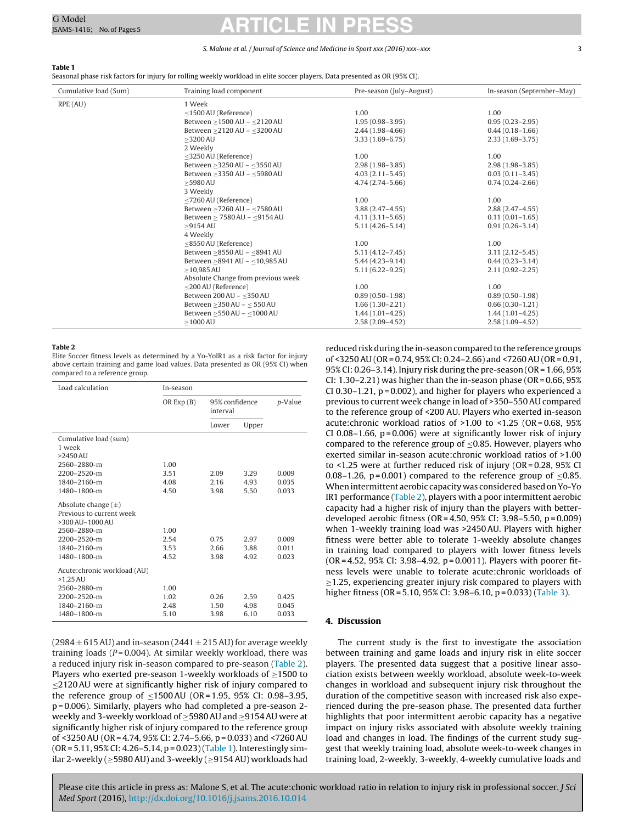#### S. Malone et al. / Journal of Science and Medicine in Sport xxx (2016) xxx-xxx 33

# <span id="page-2-0"></span>**Table 1**

Seasonal phase risk factors for injury for rolling weekly workload in elite soccer players. Data presented as OR (95% CI).

| Cumulative load (Sum) | Training load component                 | Pre-season (July-August) | In-season (September-May) |
|-----------------------|-----------------------------------------|--------------------------|---------------------------|
| RPE (AU)              | 1 Week                                  |                          |                           |
|                       | $\leq$ 1500 AU (Reference)              | 1.00                     | 1.00                      |
|                       | Between >1500 AU - <2120 AU             | $1.95(0.98 - 3.95)$      | $0.95(0.23 - 2.95)$       |
|                       | Between > 2120 AU - < 3200 AU           | $2.44(1.98-4.66)$        | $0.44(0.18 - 1.66)$       |
|                       | $>3200$ AU                              | $3.33(1.69 - 6.75)$      | $2.33(1.69 - 3.75)$       |
|                       | 2 Weekly                                |                          |                           |
|                       | <3250 AU (Reference)                    | 1.00                     | 1.00                      |
|                       | Between $\geq$ 3250 AU - $\leq$ 3550 AU | $2.98(1.98-3.85)$        | $2.98(1.98-3.85)$         |
|                       | Between $\geq$ 3350 AU - $\leq$ 5980 AU | $4.03(2.11 - 5.45)$      | $0.03(0.11 - 3.45)$       |
|                       | $>5980$ AU                              | $4.74(2.74 - 5.66)$      | $0.74(0.24 - 2.66)$       |
|                       | 3 Weekly                                |                          |                           |
|                       | <7260 AU (Reference)                    | 1.00                     | 1.00                      |
|                       | Between ≥7260 AU - ≤7580 AU             | $3.88(2.47 - 4.55)$      | $2.88(2.47-4.55)$         |
|                       | Between > 7580 AU - < 9154 AU           | $4.11(3.11 - 5.65)$      | $0.11(0.01 - 1.65)$       |
|                       | $>9154$ AU                              | $5.11(4.26 - 5.14)$      | $0.91(0.26 - 3.14)$       |
|                       | 4 Weekly                                |                          |                           |
|                       | <8550 AU (Reference)                    | 1.00                     | 1.00                      |
|                       | Between > 8550 AU - < 8941 AU           | $5.11(4.12 - 7.45)$      | $3.11(2.12 - 5.45)$       |
|                       | Between > 8941 AU - < 10,985 AU         | $5.44(4.23 - 9.14)$      | $0.44(0.23 - 3.14)$       |
|                       | $>10,985 \text{ AU}$                    | $5.11(6.22 - 9.25)$      | $2.11(0.92 - 2.25)$       |
|                       | Absolute Change from previous week      |                          |                           |
|                       | $\leq$ 200 AU (Reference)               | 1.00                     | 1.00                      |
|                       | Between 200 AU - ≤350 AU                | $0.89(0.50-1.98)$        | $0.89(0.50 - 1.98)$       |
|                       | Between > 350 AU - < 550 AU             | $1.66(1.30-2.21)$        | $0.66(0.30-1.21)$         |
|                       | Between > 550 AU - <1000 AU             | $1.44(1.01 - 4.25)$      | $1.44(1.01 - 4.25)$       |
|                       | $\geq$ 1000 AU                          | $2.58(2.09-4.52)$        | $2.58(1.09 - 4.52)$       |

#### **Table 2**

Elite Soccer fitness levels as determined by a Yo-YoIR1 as a risk factor for injury above certain training and game load values. Data presented as OR (95% CI) when compared to a reference group.

| OR $Exp(B)$<br>interval                            | 95% confidence<br>p-Value |  |
|----------------------------------------------------|---------------------------|--|
| Upper<br>Lower                                     |                           |  |
| Cumulative load (sum)                              |                           |  |
| 1 week                                             |                           |  |
| $>2450$ AU                                         |                           |  |
| 2560-2880-m<br>1.00                                |                           |  |
| $2200 - 2520 - m$<br>3.51<br>3.29<br>2.09<br>0.009 |                           |  |
| 1840-2160-m<br>4.08<br>2.16<br>4.93<br>0.035       |                           |  |
| 1480-1800-m<br>4.50<br>3.98<br>5.50<br>0.033       |                           |  |
| Absolute change $(\pm)$                            |                           |  |
| Previous to current week                           |                           |  |
| >300 AU-1000 AU                                    |                           |  |
| 2560-2880-m<br>1.00                                |                           |  |
| 2200-2520-m<br>2.54<br>0.75<br>2.97<br>0.009       |                           |  |
| 1840-2160-m<br>3.53<br>2.66<br>3.88<br>0.011       |                           |  |
| 1480-1800-m<br>4.52<br>3.98<br>4.92<br>0.023       |                           |  |
| Acute: chronic workload (AU)                       |                           |  |
| $>1.25$ AU                                         |                           |  |
| 2560-2880-m<br>1.00                                |                           |  |
| 2200-2520-m<br>1.02<br>0.26<br>2.59<br>0.425       |                           |  |
| 1840-2160-m<br>2.48<br>1.50<br>4.98<br>0.045       |                           |  |
| 1480-1800-m<br>5.10<br>3.98<br>6.10<br>0.033       |                           |  |

 $(2984 \pm 615$  AU) and in-season  $(2441 \pm 215$  AU) for average weekly training loads ( $P = 0.004$ ). At similar weekly workload, there was a reduced injury risk in-season compared to pre-season (Table 2). Players who exerted pre-season 1-weekly workloads of  $\geq$ 1500 to ≤2120AU were at significantly higher risk of injury compared to the reference group of  $\leq$ 1500 AU (OR = 1.95, 95% CI: 0.98–3.95, p = 0.006). Similarly, players who had completed a pre-season 2 weekly and 3-weekly workload of ≥5980AU and ≥9154AU were at significantly higher risk of injury compared to the reference group of <3250AU (OR = 4.74, 95% CI: 2.74–5.66, p = 0.033) and <7260AU  $(OR = 5.11, 95\% CI: 4.26 - 5.14, p = 0.023)(Table 1). Interestingly sim$ ilar 2-weekly ( $\geq$ 5980 AU) and 3-weekly ( $\geq$ 9154 AU) workloads had

reduced risk during the in-seasoncompared to the reference groups of <3250AU (OR = 0.74, 95% CI: 0.24–2.66) and <7260AU (OR = 0.91, 95% CI: 0.26–3.14). Injury risk during the pre-season (OR = 1.66, 95% CI: 1.30–2.21) was higher than the in-season phase (OR =  $0.66$ ,  $95%$ CI 0.30–1.21, p = 0.002), and higher for players who experienced a previous to current week change in load of >350–550AU compared to the reference group of <200 AU. Players who exerted in-season acute:chronic workload ratios of >1.00 to <1.25 (OR = 0.68, 95% CI 0.08–1.66,  $p = 0.006$ ) were at significantly lower risk of injury compared to the reference group of  $\leq 0.85$ . However, players who exerted similar in-season acute:chronic workload ratios of >1.00 to <1.25 were at further reduced risk of injury (OR = 0.28, 95% CI 0.08–1.26,  $p = 0.001$ ) compared to the reference group of <0.85. When intermittent aerobic capacity was considered based on Yo-Yo IR1 performance (Table 2), players with a poor intermittent aerobic capacity had a higher risk of injury than the players with betterdeveloped aerobic fitness (OR = 4.50, 95% CI: 3.98–5.50, p = 0.009) when 1-weekly training load was >2450AU. Players with higher fitness were better able to tolerate 1-weekly absolute changes in training load compared to players with lower fitness levels (OR = 4.52, 95% CI: 3.98–4.92, p = 0.0011). Players with poorer fitness levels were unable to tolerate acute:chronic workloads of  $\geq$ 1.25, experiencing greater injury risk compared to players with higher fitness (OR = 5.10, 95% CI: 3.98–6.10, p = 0.033) [\(Table](#page-3-0) 3).

## **4. Discussion**

The current study is the first to investigate the association between training and game loads and injury risk in elite soccer players. The presented data suggest that a positive linear association exists between weekly workload, absolute week-to-week changes in workload and subsequent injury risk throughout the duration of the competitive season with increased risk also experienced during the pre-season phase. The presented data further highlights that poor intermittent aerobic capacity has a negative impact on injury risks associated with absolute weekly training load and changes in load. The findings of the current study suggest that weekly training load, absolute week-to-week changes in training load, 2-weekly, 3-weekly, 4-weekly cumulative loads and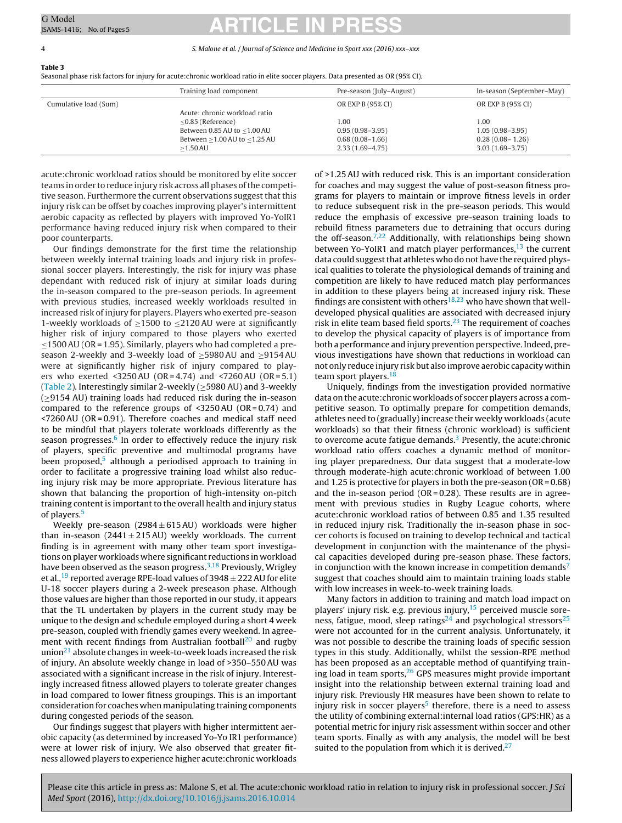#### <span id="page-3-0"></span>4 S. Malone et al. / Journal of Science and Medicine in Sport xxx (2016) xxx–xxx

**Table 3**

Seasonal phase risk factors for injury for acute:chronic workload ratio in elite soccer players. Data presented as OR (95% CI).

|                       | Training load component           | Pre-season (July-August) | In-season (September-May) |
|-----------------------|-----------------------------------|--------------------------|---------------------------|
| Cumulative load (Sum) |                                   | OR EXP B (95% CI)        | OR EXP B (95% CI)         |
|                       | Acute: chronic workload ratio     |                          |                           |
|                       | $<$ 0.85 (Reference)              | 1.00                     | 1.00                      |
|                       | Between 0.85 AU to <1.00 AU       | $0.95(0.98 - 3.95)$      | $1.05(0.98 - 3.95)$       |
|                       | Between $>1.00$ AU to $<$ 1.25 AU | $0.68(0.08-1.66)$        | $0.28(0.08 - 1.26)$       |
|                       | $>1.50$ AU                        | $2.33(1.69-4.75)$        | $3.03(1.69-3.75)$         |

acute:chronic workload ratios should be monitored by elite soccer teams in order to reduce injury risk across all phases of the competitive season. Furthermore the current observations suggest that this injury risk can be offset by coaches improving player's intermittent aerobic capacity as reflected by players with improved Yo-YoIR1 performance having reduced injury risk when compared to their poor counterparts.

Our findings demonstrate for the first time the relationship between weekly internal training loads and injury risk in professional soccer players. Interestingly, the risk for injury was phase dependant with reduced risk of injury at similar loads during the in-season compared to the pre-season periods. In agreement with previous studies, increased weekly workloads resulted in increased risk of injury for players. Players who exerted pre-season 1-weekly workloads of  $\geq$ 1500 to  $\leq$ 2120 AU were at significantly higher risk of injury compared to those players who exerted ≤1500AU (OR = 1.95). Similarly, players who had completed a preseason 2-weekly and 3-weekly load of ≥5980AU and ≥9154AU were at significantly higher risk of injury compared to players who exerted <3250AU (OR = 4.74) and <7260AU (OR =  $5.1$ ) ([Table](#page-2-0) 2). Interestingly similar 2-weekly ( $\geq$ 5980 AU) and 3-weekly (≥9154 AU) training loads had reduced risk during the in-season compared to the reference groups of  $\leq$ 3250AU (OR = 0.74) and <7260AU (OR = 0.91). Therefore coaches and medical staff need to be mindful that players tolerate workloads differently as the season progresses. $6 \text{ In order to effectively reduce the injury risk}$ of players, specific preventive and multimodal programs have been proposed,<sup>5</sup> although a periodised approach to training in order to facilitate a progressive training load whilst also reducing injury risk may be more appropriate. Previous literature has shown that balancing the proportion of high-intensity on-pitch training content is important to the overall health and injury status of players.<sup>5</sup>

Weekly pre-season  $(2984 \pm 615 \text{ AU})$  workloads were higher than in-season  $(2441 \pm 215 \text{ AU})$  weekly workloads. The current finding is in agreement with many other team sport investigations on player workloads where significant reductions in workload have been observed as the season progress. $3,18$  Previously, Wrigley et al.,<sup>[19](#page-4-0)</sup> reported average RPE-load values of 3948  $\pm$  222 AU for elite U-18 soccer players during a 2-week preseason phase. Although those values are higher than those reported in our study, it appears that the TL undertaken by players in the current study may be unique to the design and schedule employed during a short 4 week pre-season, coupled with friendly games every weekend. In agreement with recent findings from Australian football<sup>20</sup> and rugby union $21$  absolute changes in week-to-week loads increased the risk of injury. An absolute weekly change in load of >350–550AU was associated with a significant increase in the risk of injury. Interestingly increased fitness allowed players to tolerate greater changes in load compared to lower fitness groupings. This is an important consideration for coaches when manipulating training components during congested periods of the season.

Our findings suggest that players with higher intermittent aerobic capacity (as determined by increased Yo-Yo IR1 performance) were at lower risk of injury. We also observed that greater fitness allowed players to experience higher acute:chronic workloads

of >1.25AU with reduced risk. This is an important consideration for coaches and may suggest the value of post-season fitness programs for players to maintain or improve fitness levels in order to reduce subsequent risk in the pre-season periods. This would reduce the emphasis of excessive pre-season training loads to rebuild fitness parameters due to detraining that occurs during the off-season. $7,22$  Additionally, with relationships being shown between Yo-YoIR1 and match player performances, $^{13}$  $^{13}$  $^{13}$  the current data could suggest that athletes who do not have the required physical qualities to tolerate the physiological demands of training and competition are likely to have reduced match play performances in addition to these players being at increased injury risk. These findings are consistent with others<sup>18,23</sup> who have shown that welldeveloped physical qualities are associated with decreased injury risk in elite team based field sports.<sup>23</sup> The requirement of coaches to develop the physical capacity of players is of importance from both a performance and injury prevention perspective. Indeed, previous investigations have shown that reductions in workload can not only reduce injury risk but also improve aerobic capacity within team sport players.<sup>[18](#page-4-0)</sup>

Uniquely, findings from the investigation provided normative data on the acute:chronic workloads of soccer players across a competitive season. To optimally prepare for competition demands, athletes need to (gradually) increase their weekly workloads (acute workloads) so that their fitness (chronic workload) is sufficient to overcome acute fatigue demands.<sup>[3](#page-4-0)</sup> Presently, the acute: chronic workload ratio offers coaches a dynamic method of monitoring player preparedness. Our data suggest that a moderate-low through moderate-high acute:chronic workload of between 1.00 and 1.25 is protective for players in both the pre-season (OR =  $0.68$ ) and the in-season period ( $OR = 0.28$ ). These results are in agreement with previous studies in Rugby League cohorts, where acute:chronic workload ratios of between 0.85 and 1.35 resulted in reduced injury risk. Traditionally the in-season phase in soccer cohorts is focused on training to develop technical and tactical development in conjunction with the maintenance of the physical capacities developed during pre-season phase. These factors, in conjunction with the known increase in competition demands<sup>[7](#page-4-0)</sup> suggest that coaches should aim to maintain training loads stable with low increases in week-to-week training loads.

Many factors in addition to training and match load impact on players' injury risk. e.g. previous injury,  $15$  perceived muscle sore-ness, fatigue, mood, sleep ratings<sup>[24](#page-4-0)</sup> and psychological stressors<sup>25</sup> were not accounted for in the current analysis. Unfortunately, it was not possible to describe the training loads of specific session types in this study. Additionally, whilst the session-RPE method has been proposed as an acceptable method of quantifying training load in team sports, $26$  GPS measures might provide important insight into the relationship between external training load and injury risk. Previously HR measures have been shown to relate to injury risk in soccer players $5$  therefore, there is a need to assess the utility of combining external:internal load ratios (GPS:HR) as a potential metric for injury risk assessment within soccer and other team sports. Finally as with any analysis, the model will be best suited to the population from which it is derived. $27$